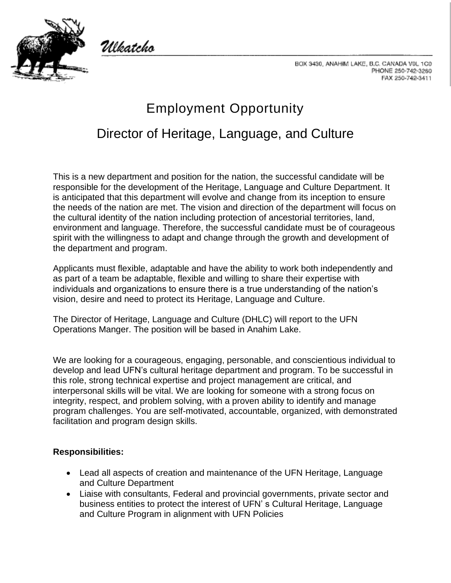

Ulkatcho

BOX 3430, ANAHIM LAKE, B.C. CANADA VOL 1C0 PHONE 250-742-3260 FAX 250-742-3411

## Employment Opportunity Director of Heritage, Language, and Culture

This is a new department and position for the nation, the successful candidate will be responsible for the development of the Heritage, Language and Culture Department. It is anticipated that this department will evolve and change from its inception to ensure the needs of the nation are met. The vision and direction of the department will focus on the cultural identity of the nation including protection of ancestorial territories, land, environment and language. Therefore, the successful candidate must be of courageous spirit with the willingness to adapt and change through the growth and development of the department and program.

Applicants must flexible, adaptable and have the ability to work both independently and as part of a team be adaptable, flexible and willing to share their expertise with individuals and organizations to ensure there is a true understanding of the nation's vision, desire and need to protect its Heritage, Language and Culture.

The Director of Heritage, Language and Culture (DHLC) will report to the UFN Operations Manger. The position will be based in Anahim Lake.

We are looking for a courageous, engaging, personable, and conscientious individual to develop and lead UFN's cultural heritage department and program. To be successful in this role, strong technical expertise and project management are critical, and interpersonal skills will be vital. We are looking for someone with a strong focus on integrity, respect, and problem solving, with a proven ability to identify and manage program challenges. You are self-motivated, accountable, organized, with demonstrated facilitation and program design skills.

## **Responsibilities:**

- Lead all aspects of creation and maintenance of the UFN Heritage, Language and Culture Department
- Liaise with consultants, Federal and provincial governments, private sector and business entities to protect the interest of UFN' s Cultural Heritage, Language and Culture Program in alignment with UFN Policies